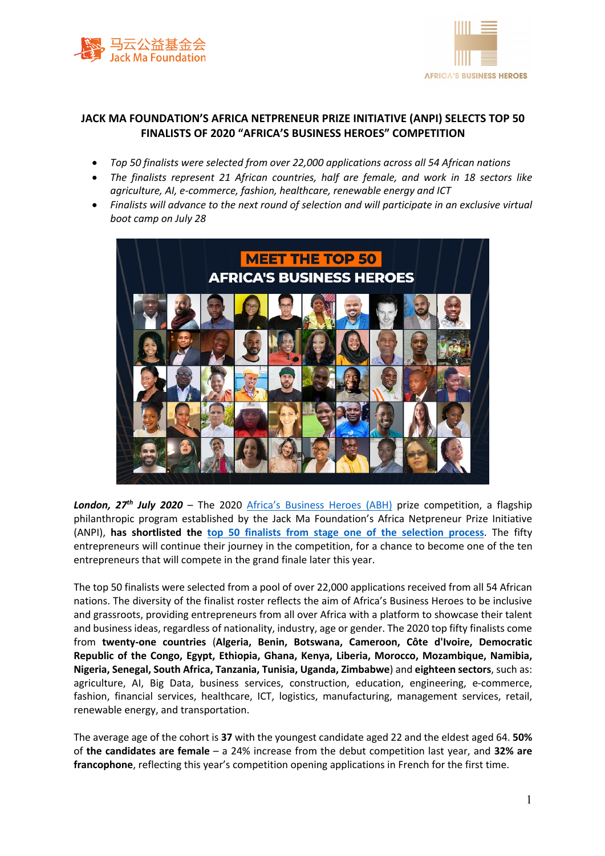



## **JACK MA FOUNDATION'S AFRICA NETPRENEUR PRIZE INITIATIVE (ANPI) SELECTS TOP 50 FINALISTS OF 2020 "AFRICA'S BUSINESS HEROES" COMPETITION**

- *Top 50 finalists were selected from over 22,000 applications across all 54 African nations*
- *The finalists represent 21 African countries, half are female, and work in 18 sectors like agriculture, AI, e-commerce, fashion, healthcare, renewable energy and ICT*
- *Finalists will advance to the next round of selection and will participate in an exclusive virtual boot camp on July 28*



London, 27<sup>th</sup> July 2020 – The 2020 Africa's Business Heroes (ABH) prize competition, a flagship philanthropic program established by the Jack Ma Foundation's Africa Netpreneur Prize Initiative (ANPI), **has shortlisted the top 50 finalists from stage one of the selection process**. The fifty entrepreneurs will continue their journey in the competition, for a chance to become one of the ten entrepreneurs that will compete in the grand finale later this year.

The top 50 finalists were selected from a pool of over 22,000 applications received from all 54 African nations. The diversity of the finalist roster reflects the aim of Africa's Business Heroes to be inclusive and grassroots, providing entrepreneurs from all over Africa with a platform to showcase their talent and business ideas, regardless of nationality, industry, age or gender. The 2020 top fifty finalists come from **twenty-one countries** (**Algeria, Benin, Botswana, Cameroon, Côte d'Ivoire, Democratic Republic of the Congo, Egypt, Ethiopia, Ghana, Kenya, Liberia, Morocco, Mozambique, Namibia, Nigeria, Senegal, South Africa, Tanzania, Tunisia, Uganda, Zimbabwe**) and **eighteen sectors**, such as: agriculture, AI, Big Data, business services, construction, education, engineering, e-commerce, fashion, financial services, healthcare, ICT, logistics, manufacturing, management services, retail, renewable energy, and transportation.

The average age of the cohort is **37** with the youngest candidate aged 22 and the eldest aged 64. **50%**  of **the candidates are female** – a 24% increase from the debut competition last year, and **32% are francophone**, reflecting this year's competition opening applications in French for the first time.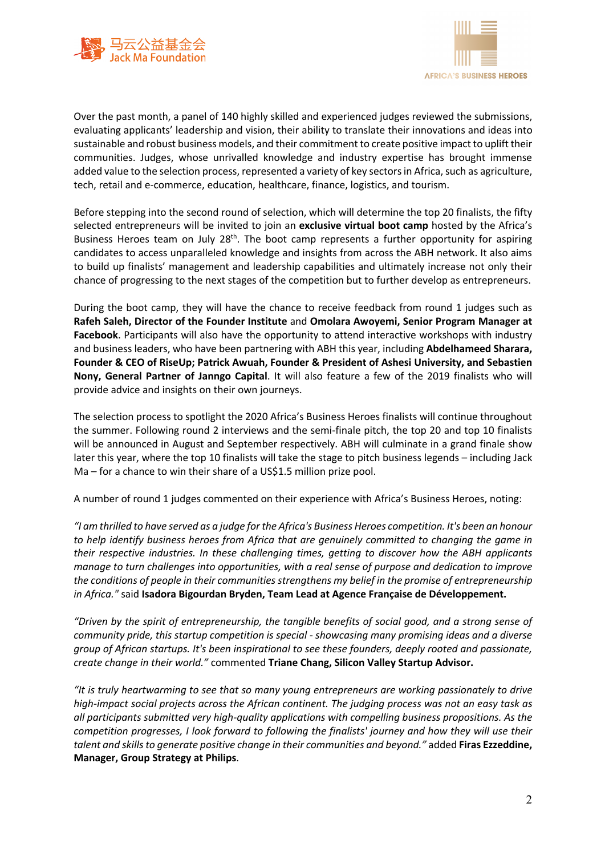



Over the past month, a panel of 140 highly skilled and experienced judges reviewed the submissions, evaluating applicants' leadership and vision, their ability to translate their innovations and ideas into sustainable and robust business models, and their commitment to create positive impact to uplift their communities. Judges, whose unrivalled knowledge and industry expertise has brought immense added value to the selection process, represented a variety of key sectors in Africa, such as agriculture, tech, retail and e-commerce, education, healthcare, finance, logistics, and tourism.

Before stepping into the second round of selection, which will determine the top 20 finalists, the fifty selected entrepreneurs will be invited to join an **exclusive virtual boot camp** hosted by the Africa's Business Heroes team on July 28<sup>th</sup>. The boot camp represents a further opportunity for aspiring candidates to access unparalleled knowledge and insights from across the ABH network. It also aims to build up finalists' management and leadership capabilities and ultimately increase not only their chance of progressing to the next stages of the competition but to further develop as entrepreneurs.

During the boot camp, they will have the chance to receive feedback from round 1 judges such as **Rafeh Saleh, Director of the Founder Institute** and **Omolara Awoyemi, Senior Program Manager at Facebook**. Participants will also have the opportunity to attend interactive workshops with industry and business leaders, who have been partnering with ABH this year, including **Abdelhameed Sharara, Founder & CEO of RiseUp; Patrick Awuah, Founder & President of Ashesi University, and Sebastien Nony, General Partner of Janngo Capital**. It will also feature a few of the 2019 finalists who will provide advice and insights on their own journeys.

The selection process to spotlight the 2020 Africa's Business Heroes finalists will continue throughout the summer. Following round 2 interviews and the semi-finale pitch, the top 20 and top 10 finalists will be announced in August and September respectively. ABH will culminate in a grand finale show later this year, where the top 10 finalists will take the stage to pitch business legends – including Jack Ma – for a chance to win their share of a US\$1.5 million prize pool.

A number of round 1 judges commented on their experience with Africa's Business Heroes, noting:

*"I am thrilled to have served as a judge for the Africa's Business Heroes competition. It's been an honour to help identify business heroes from Africa that are genuinely committed to changing the game in their respective industries. In these challenging times, getting to discover how the ABH applicants manage to turn challenges into opportunities, with a real sense of purpose and dedication to improve the conditions of people in their communities strengthens my belief in the promise of entrepreneurship in Africa."* said **Isadora Bigourdan Bryden, Team Lead at Agence Française de Développement.**

*"Driven by the spirit of entrepreneurship, the tangible benefits of social good, and a strong sense of community pride, this startup competition is special - showcasing many promising ideas and a diverse group of African startups. It's been inspirational to see these founders, deeply rooted and passionate, create change in their world."* commented **Triane Chang, Silicon Valley Startup Advisor.**

*"It is truly heartwarming to see that so many young entrepreneurs are working passionately to drive high-impact social projects across the African continent. The judging process was not an easy task as all participants submitted very high-quality applications with compelling business propositions. As the competition progresses, I look forward to following the finalists' journey and how they will use their talent and skills to generate positive change in their communities and beyond."* added **Firas Ezzeddine, Manager, Group Strategy at Philips**.